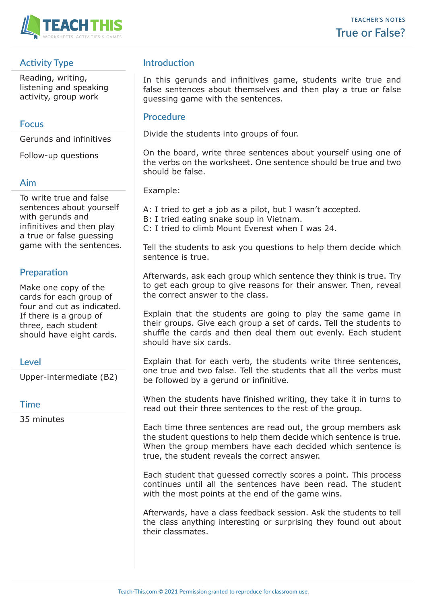

# **Activity Type**

Reading, writing, listening and speaking activity, group work

### **Focus**

Gerunds and infinitives

Follow-up questions

### **Aim**

To write true and false sentences about yourself with gerunds and infinitives and then play a true or false guessing game with the sentences.

# **Preparation**

Make one copy of the cards for each group of four and cut as indicated. If there is a group of three, each student should have eight cards.

## **Level**

Upper-intermediate (B2)

#### **Time**

35 minutes

# **Introduction**

In this gerunds and infinitives game, students write true and false sentences about themselves and then play a true or false guessing game with the sentences.

#### **Procedure**

Divide the students into groups of four.

On the board, write three sentences about yourself using one of the verbs on the worksheet. One sentence should be true and two should be false.

Example:

A: I tried to get a job as a pilot, but I wasn't accepted.

B: I tried eating snake soup in Vietnam.

C: I tried to climb Mount Everest when I was 24.

Tell the students to ask you questions to help them decide which sentence is true.

Afterwards, ask each group which sentence they think is true. Try to get each group to give reasons for their answer. Then, reveal the correct answer to the class.

Explain that the students are going to play the same game in their groups. Give each group a set of cards. Tell the students to shuffle the cards and then deal them out evenly. Each student should have six cards.

Explain that for each verb, the students write three sentences, one true and two false. Tell the students that all the verbs must be followed by a gerund or infinitive.

When the students have finished writing, they take it in turns to read out their three sentences to the rest of the group.

Each time three sentences are read out, the group members ask the student questions to help them decide which sentence is true. When the group members have each decided which sentence is true, the student reveals the correct answer.

Each student that guessed correctly scores a point. This process continues until all the sentences have been read. The student with the most points at the end of the game wins.

Afterwards, have a class feedback session. Ask the students to tell the class anything interesting or surprising they found out about their classmates.